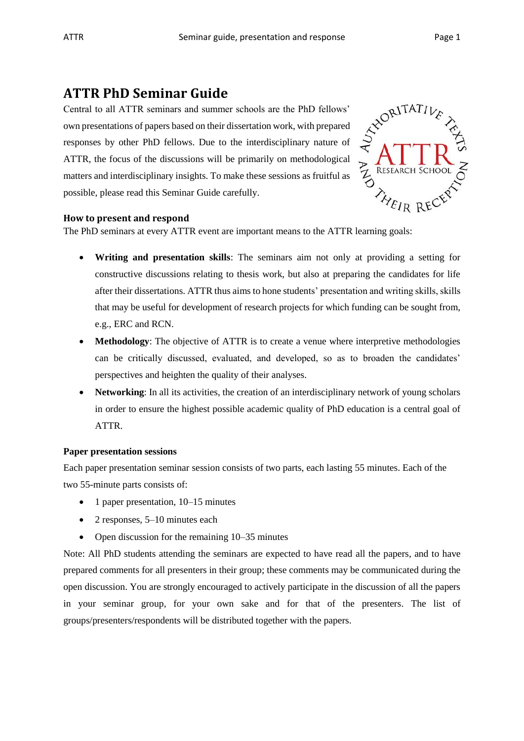# **ATTR PhD Seminar Guide**

Central to all ATTR seminars and summer schools are the PhD fellows' own presentations of papers based on their dissertation work, with prepared responses by other PhD fellows. Due to the interdisciplinary nature of ATTR, the focus of the discussions will be primarily on methodological matters and interdisciplinary insights. To make these sessions as fruitful as possible, please read this Seminar Guide carefully.



## **How to present and respond**

The PhD seminars at every ATTR event are important means to the ATTR learning goals:

- **Writing and presentation skills**: The seminars aim not only at providing a setting for constructive discussions relating to thesis work, but also at preparing the candidates for life after their dissertations. ATTR thus aims to hone students' presentation and writing skills, skills that may be useful for development of research projects for which funding can be sought from, e.g., ERC and RCN.
- **Methodology**: The objective of ATTR is to create a venue where interpretive methodologies can be critically discussed, evaluated, and developed, so as to broaden the candidates' perspectives and heighten the quality of their analyses.
- **Networking**: In all its activities, the creation of an interdisciplinary network of young scholars in order to ensure the highest possible academic quality of PhD education is a central goal of ATTR.

## **Paper presentation sessions**

Each paper presentation seminar session consists of two parts, each lasting 55 minutes. Each of the two 55-minute parts consists of:

- 1 paper presentation, 10–15 minutes
- $\bullet$  2 responses, 5–10 minutes each
- Open discussion for the remaining  $10-35$  minutes

Note: All PhD students attending the seminars are expected to have read all the papers, and to have prepared comments for all presenters in their group; these comments may be communicated during the open discussion. You are strongly encouraged to actively participate in the discussion of all the papers in your seminar group, for your own sake and for that of the presenters. The list of groups/presenters/respondents will be distributed together with the papers.